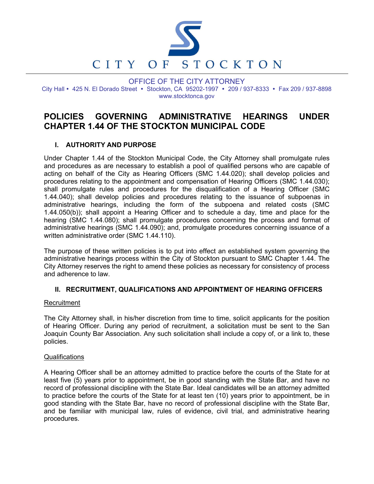

OFFICE OF THE CITY ATTORNEY City Hall • 425 N. El Dorado Street • Stockton, CA 95202-1997 • 209 / 937-8333 • Fax 209 / 937-8898 www.stocktonca.gov

# POLICIES GOVERNING ADMINISTRATIVE HEARINGS UNDER CHAPTER 1.44 OF THE STOCKTON MUNICIPAL CODE

## I. AUTHORITY AND PURPOSE

Under Chapter 1.44 of the Stockton Municipal Code, the City Attorney shall promulgate rules and procedures as are necessary to establish a pool of qualified persons who are capable of acting on behalf of the City as Hearing Officers (SMC 1.44.020); shall develop policies and procedures relating to the appointment and compensation of Hearing Officers (SMC 1.44.030); shall promulgate rules and procedures for the disqualification of a Hearing Officer (SMC 1.44.040); shall develop policies and procedures relating to the issuance of subpoenas in administrative hearings, including the form of the subpoena and related costs (SMC 1.44.050(b)); shall appoint a Hearing Officer and to schedule a day, time and place for the hearing (SMC 1.44.080); shall promulgate procedures concerning the process and format of administrative hearings (SMC 1.44.090); and, promulgate procedures concerning issuance of a written administrative order (SMC 1.44.110).

The purpose of these written policies is to put into effect an established system governing the administrative hearings process within the City of Stockton pursuant to SMC Chapter 1.44. The City Attorney reserves the right to amend these policies as necessary for consistency of process and adherence to law.

### II. RECRUITMENT, QUALIFICATIONS AND APPOINTMENT OF HEARING OFFICERS

#### **Recruitment**

The City Attorney shall, in his/her discretion from time to time, solicit applicants for the position of Hearing Officer. During any period of recruitment, a solicitation must be sent to the San Joaquin County Bar Association. Any such solicitation shall include a copy of, or a link to, these policies.

#### **Qualifications**

A Hearing Officer shall be an attorney admitted to practice before the courts of the State for at least five (5) years prior to appointment, be in good standing with the State Bar, and have no record of professional discipline with the State Bar. Ideal candidates will be an attorney admitted to practice before the courts of the State for at least ten (10) years prior to appointment, be in good standing with the State Bar, have no record of professional discipline with the State Bar, and be familiar with municipal law, rules of evidence, civil trial, and administrative hearing procedures.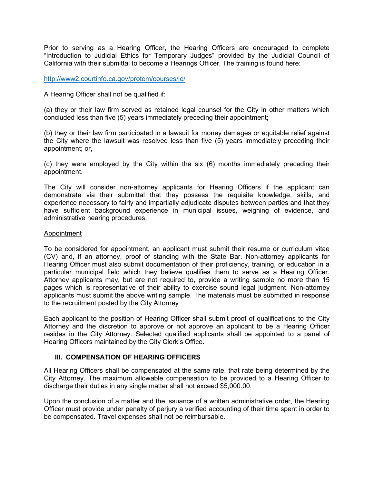Prior to serving as a Hearing Officer, the Hearing Officers are encouraged to complete "Introduction to Judicial Ethics for Temporary Judges" provided by the Judicial Council of California with their submittal to become a Hearings Officer. The training is found here:

http://www2.courtinfo.ca.gov/protem/courses/je/

A Hearing Officer shall not be qualified if:

(a) they or their law firm served as retained legal counsel for the City in other matters which concluded less than five (5) years immediately preceding their appointment;

(b) they or their law firm participated in a lawsuit for money damages or equitable relief against the City where the lawsuit was resolved less than five (5) years immediately preceding their appointment; or,

(c) they were employed by the City within the six (6) months immediately preceding their appointment.

The City will consider non-attorney applicants for Hearing Officers if the applicant can demonstrate via their submittal that they possess the requisite knowledge, skills, and experience necessary to fairly and impartially adjudicate disputes between parties and that they have sufficient background experience in municipal issues, weighing of evidence, and administrative hearing procedures.

#### Appointment

To be considered for appointment, an applicant must submit their resume or curriculum vitae (CV) and, if an attorney, proof of standing with the State Bar. Non-attorney applicants for Hearing Officer must also submit documentation of their proficiency, training, or education in a particular municipal field which they believe qualifies them to serve as a Hearing Officer. Attorney applicants may, but are not required to, provide a writing sample no more than 15 pages which is representative of their ability to exercise sound legal judgment. Non-attorney applicants must submit the above writing sample. The materials must be submitted in response to the recruitment posted by the City Attorney

Each applicant to the position of Hearing Officer shall submit proof of qualifications to the City Attorney and the discretion to approve or not approve an applicant to be a Hearing Officer resides in the City Attorney. Selected qualified applicants shall be appointed to a panel of Hearing Officers maintained by the City Clerk's Office.

### III. COMPENSATION OF HEARING OFFICERS

All Hearing Officers shall be compensated at the same rate, that rate being determined by the City Attorney. The maximum allowable compensation to be provided to a Hearing Officer to discharge their duties in any single matter shall not exceed \$5,000.00.

Upon the conclusion of a matter and the issuance of a written administrative order, the Hearing Officer must provide under penalty of perjury a verified accounting of their time spent in order to be compensated. Travel expenses shall not be reimbursable.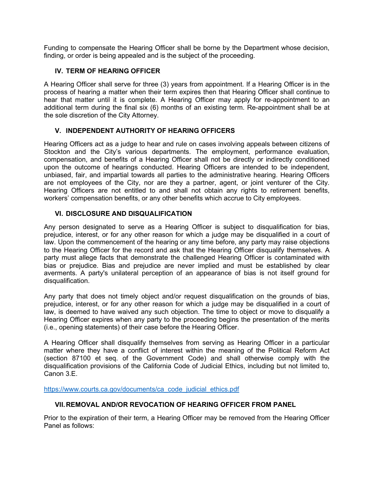Funding to compensate the Hearing Officer shall be borne by the Department whose decision, finding, or order is being appealed and is the subject of the proceeding.

## IV. TERM OF HEARING OFFICER

A Hearing Officer shall serve for three (3) years from appointment. If a Hearing Officer is in the process of hearing a matter when their term expires then that Hearing Officer shall continue to hear that matter until it is complete. A Hearing Officer may apply for re-appointment to an additional term during the final six (6) months of an existing term. Re-appointment shall be at the sole discretion of the City Attorney.

## V. INDEPENDENT AUTHORITY OF HEARING OFFICERS

Hearing Officers act as a judge to hear and rule on cases involving appeals between citizens of Stockton and the City's various departments. The employment, performance evaluation, compensation, and benefits of a Hearing Officer shall not be directly or indirectly conditioned upon the outcome of hearings conducted. Hearing Officers are intended to be independent, unbiased, fair, and impartial towards all parties to the administrative hearing. Hearing Officers are not employees of the City, nor are they a partner, agent, or joint venturer of the City. Hearing Officers are not entitled to and shall not obtain any rights to retirement benefits, workers' compensation benefits, or any other benefits which accrue to City employees.

## VI. DISCLOSURE AND DISQUALIFICATION

Any person designated to serve as a Hearing Officer is subject to disqualification for bias, prejudice, interest, or for any other reason for which a judge may be disqualified in a court of law. Upon the commencement of the hearing or any time before, any party may raise objections to the Hearing Officer for the record and ask that the Hearing Officer disqualify themselves. A party must allege facts that demonstrate the challenged Hearing Officer is contaminated with bias or prejudice. Bias and prejudice are never implied and must be established by clear averments. A party's unilateral perception of an appearance of bias is not itself ground for disqualification.

Any party that does not timely object and/or request disqualification on the grounds of bias, prejudice, interest, or for any other reason for which a judge may be disqualified in a court of law, is deemed to have waived any such objection. The time to object or move to disqualify a Hearing Officer expires when any party to the proceeding begins the presentation of the merits (i.e., opening statements) of their case before the Hearing Officer.

A Hearing Officer shall disqualify themselves from serving as Hearing Officer in a particular matter where they have a conflict of interest within the meaning of the Political Reform Act (section 87100 et seq. of the Government Code) and shall otherwise comply with the disqualification provisions of the California Code of Judicial Ethics, including but not limited to, Canon 3.E.

https://www.courts.ca.gov/documents/ca\_code\_judicial\_ethics.pdf

### VII. REMOVAL AND/OR REVOCATION OF HEARING OFFICER FROM PANEL

Prior to the expiration of their term, a Hearing Officer may be removed from the Hearing Officer Panel as follows: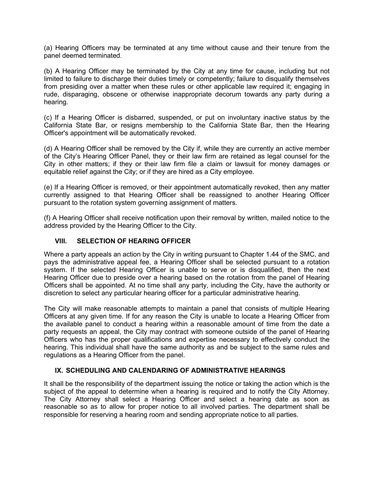(a) Hearing Officers may be terminated at any time without cause and their tenure from the panel deemed terminated.

(b) A Hearing Officer may be terminated by the City at any time for cause, including but not limited to failure to discharge their duties timely or competently; failure to disqualify themselves from presiding over a matter when these rules or other applicable law required it; engaging in rude, disparaging, obscene or otherwise inappropriate decorum towards any party during a hearing.

(c) If a Hearing Officer is disbarred, suspended, or put on involuntary inactive status by the California State Bar, or resigns membership to the California State Bar, then the Hearing Officer's appointment will be automatically revoked.

(d) A Hearing Officer shall be removed by the City if, while they are currently an active member of the City's Hearing Officer Panel, they or their law firm are retained as legal counsel for the City in other matters; if they or their law firm file a claim or lawsuit for money damages or equitable relief against the City; or if they are hired as a City employee.

(e) If a Hearing Officer is removed, or their appointment automatically revoked, then any matter currently assigned to that Hearing Officer shall be reassigned to another Hearing Officer pursuant to the rotation system governing assignment of matters.

(f) A Hearing Officer shall receive notification upon their removal by written, mailed notice to the address provided by the Hearing Officer to the City.

#### VIII. SELECTION OF HEARING OFFICER

Where a party appeals an action by the City in writing pursuant to Chapter 1.44 of the SMC, and pays the administrative appeal fee, a Hearing Officer shall be selected pursuant to a rotation system. If the selected Hearing Officer is unable to serve or is disqualified, then the next Hearing Officer due to preside over a hearing based on the rotation from the panel of Hearing Officers shall be appointed. At no time shall any party, including the City, have the authority or discretion to select any particular hearing officer for a particular administrative hearing.

The City will make reasonable attempts to maintain a panel that consists of multiple Hearing Officers at any given time. If for any reason the City is unable to locate a Hearing Officer from the available panel to conduct a hearing within a reasonable amount of time from the date a party requests an appeal, the City may contract with someone outside of the panel of Hearing Officers who has the proper qualifications and expertise necessary to effectively conduct the hearing. This individual shall have the same authority as and be subject to the same rules and regulations as a Hearing Officer from the panel.

### IX. SCHEDULING AND CALENDARING OF ADMINISTRATIVE HEARINGS

It shall be the responsibility of the department issuing the notice or taking the action which is the subject of the appeal to determine when a hearing is required and to notify the City Attorney. The City Attorney shall select a Hearing Officer and select a hearing date as soon as reasonable so as to allow for proper notice to all involved parties. The department shall be responsible for reserving a hearing room and sending appropriate notice to all parties.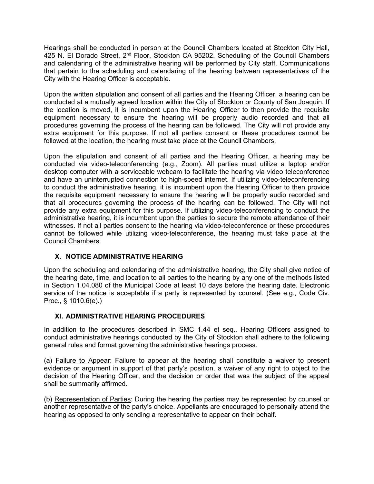Hearings shall be conducted in person at the Council Chambers located at Stockton City Hall, 425 N. El Dorado Street, 2<sup>nd</sup> Floor, Stockton CA 95202. Scheduling of the Council Chambers and calendaring of the administrative hearing will be performed by City staff. Communications that pertain to the scheduling and calendaring of the hearing between representatives of the City with the Hearing Officer is acceptable.

Upon the written stipulation and consent of all parties and the Hearing Officer, a hearing can be conducted at a mutually agreed location within the City of Stockton or County of San Joaquin. If the location is moved, it is incumbent upon the Hearing Officer to then provide the requisite equipment necessary to ensure the hearing will be properly audio recorded and that all procedures governing the process of the hearing can be followed. The City will not provide any extra equipment for this purpose. If not all parties consent or these procedures cannot be followed at the location, the hearing must take place at the Council Chambers.

Upon the stipulation and consent of all parties and the Hearing Officer, a hearing may be conducted via video-teleconferencing (e.g., Zoom). All parties must utilize a laptop and/or desktop computer with a serviceable webcam to facilitate the hearing via video teleconference and have an uninterrupted connection to high-speed internet. If utilizing video-teleconferencing to conduct the administrative hearing, it is incumbent upon the Hearing Officer to then provide the requisite equipment necessary to ensure the hearing will be properly audio recorded and that all procedures governing the process of the hearing can be followed. The City will not provide any extra equipment for this purpose. If utilizing video-teleconferencing to conduct the administrative hearing, it is incumbent upon the parties to secure the remote attendance of their witnesses. If not all parties consent to the hearing via video-teleconference or these procedures cannot be followed while utilizing video-teleconference, the hearing must take place at the Council Chambers.

# X. NOTICE ADMINISTRATIVE HEARING

Upon the scheduling and calendaring of the administrative hearing, the City shall give notice of the hearing date, time, and location to all parties to the hearing by any one of the methods listed in Section 1.04.080 of the Municipal Code at least 10 days before the hearing date. Electronic service of the notice is acceptable if a party is represented by counsel. (See e.g., Code Civ. Proc., § 1010.6(e).)

### XI. ADMINISTRATIVE HEARING PROCEDURES

In addition to the procedures described in SMC 1.44 et seq., Hearing Officers assigned to conduct administrative hearings conducted by the City of Stockton shall adhere to the following general rules and format governing the administrative hearings process.

(a) Failure to Appear: Failure to appear at the hearing shall constitute a waiver to present evidence or argument in support of that party's position, a waiver of any right to object to the decision of the Hearing Officer, and the decision or order that was the subject of the appeal shall be summarily affirmed.

(b) Representation of Parties: During the hearing the parties may be represented by counsel or another representative of the party's choice. Appellants are encouraged to personally attend the hearing as opposed to only sending a representative to appear on their behalf.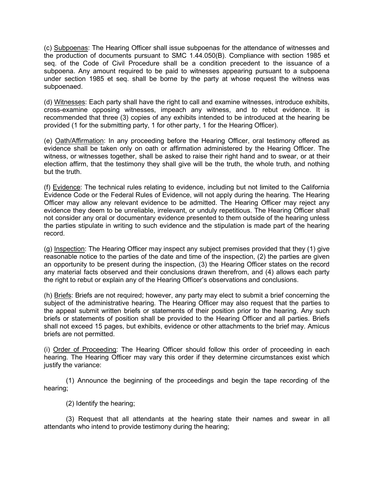(c) Subpoenas: The Hearing Officer shall issue subpoenas for the attendance of witnesses and the production of documents pursuant to SMC 1.44.050(B). Compliance with section 1985 et seq. of the Code of Civil Procedure shall be a condition precedent to the issuance of a subpoena. Any amount required to be paid to witnesses appearing pursuant to a subpoena under section 1985 et seq. shall be borne by the party at whose request the witness was subpoenaed.

(d) Witnesses: Each party shall have the right to call and examine witnesses, introduce exhibits, cross-examine opposing witnesses, impeach any witness, and to rebut evidence. It is recommended that three (3) copies of any exhibits intended to be introduced at the hearing be provided (1 for the submitting party, 1 for other party, 1 for the Hearing Officer).

(e) Oath/Affirmation: In any proceeding before the Hearing Officer, oral testimony offered as evidence shall be taken only on oath or affirmation administered by the Hearing Officer. The witness, or witnesses together, shall be asked to raise their right hand and to swear, or at their election affirm, that the testimony they shall give will be the truth, the whole truth, and nothing but the truth.

(f) Evidence: The technical rules relating to evidence, including but not limited to the California Evidence Code or the Federal Rules of Evidence, will not apply during the hearing. The Hearing Officer may allow any relevant evidence to be admitted. The Hearing Officer may reject any evidence they deem to be unreliable, irrelevant, or unduly repetitious. The Hearing Officer shall not consider any oral or documentary evidence presented to them outside of the hearing unless the parties stipulate in writing to such evidence and the stipulation is made part of the hearing record.

(g) Inspection: The Hearing Officer may inspect any subject premises provided that they (1) give reasonable notice to the parties of the date and time of the inspection, (2) the parties are given an opportunity to be present during the inspection, (3) the Hearing Officer states on the record any material facts observed and their conclusions drawn therefrom, and (4) allows each party the right to rebut or explain any of the Hearing Officer's observations and conclusions.

(h) Briefs: Briefs are not required; however, any party may elect to submit a brief concerning the subject of the administrative hearing. The Hearing Officer may also request that the parties to the appeal submit written briefs or statements of their position prior to the hearing. Any such briefs or statements of position shall be provided to the Hearing Officer and all parties. Briefs shall not exceed 15 pages, but exhibits, evidence or other attachments to the brief may. Amicus briefs are not permitted.

(i) Order of Proceeding: The Hearing Officer should follow this order of proceeding in each hearing. The Hearing Officer may vary this order if they determine circumstances exist which justify the variance:

(1) Announce the beginning of the proceedings and begin the tape recording of the hearing;

(2) Identify the hearing;

(3) Request that all attendants at the hearing state their names and swear in all attendants who intend to provide testimony during the hearing;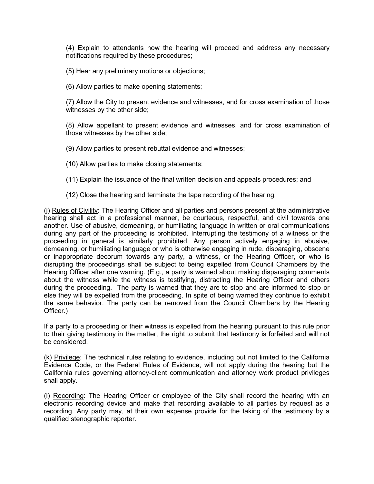(4) Explain to attendants how the hearing will proceed and address any necessary notifications required by these procedures;

(5) Hear any preliminary motions or objections;

(6) Allow parties to make opening statements;

(7) Allow the City to present evidence and witnesses, and for cross examination of those witnesses by the other side;

(8) Allow appellant to present evidence and witnesses, and for cross examination of those witnesses by the other side;

(9) Allow parties to present rebuttal evidence and witnesses;

- (10) Allow parties to make closing statements;
- (11) Explain the issuance of the final written decision and appeals procedures; and
- (12) Close the hearing and terminate the tape recording of the hearing.

(j) Rules of Civility: The Hearing Officer and all parties and persons present at the administrative hearing shall act in a professional manner, be courteous, respectful, and civil towards one another. Use of abusive, demeaning, or humiliating language in written or oral communications during any part of the proceeding is prohibited. Interrupting the testimony of a witness or the proceeding in general is similarly prohibited. Any person actively engaging in abusive, demeaning, or humiliating language or who is otherwise engaging in rude, disparaging, obscene or inappropriate decorum towards any party, a witness, or the Hearing Officer, or who is disrupting the proceedings shall be subject to being expelled from Council Chambers by the Hearing Officer after one warning. (E.g., a party is warned about making disparaging comments about the witness while the witness is testifying, distracting the Hearing Officer and others during the proceeding. The party is warned that they are to stop and are informed to stop or else they will be expelled from the proceeding. In spite of being warned they continue to exhibit the same behavior. The party can be removed from the Council Chambers by the Hearing Officer.)

If a party to a proceeding or their witness is expelled from the hearing pursuant to this rule prior to their giving testimony in the matter, the right to submit that testimony is forfeited and will not be considered.

(k) Privilege: The technical rules relating to evidence, including but not limited to the California Evidence Code, or the Federal Rules of Evidence, will not apply during the hearing but the California rules governing attorney-client communication and attorney work product privileges shall apply.

(l) Recording: The Hearing Officer or employee of the City shall record the hearing with an electronic recording device and make that recording available to all parties by request as a recording. Any party may, at their own expense provide for the taking of the testimony by a qualified stenographic reporter.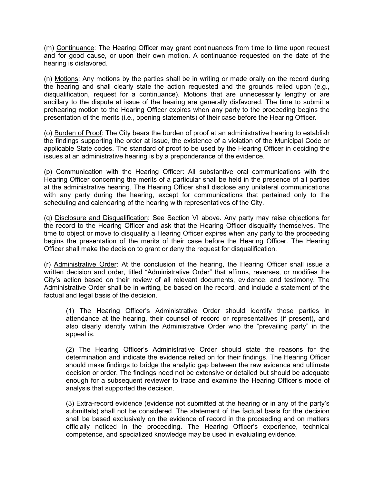(m) Continuance: The Hearing Officer may grant continuances from time to time upon request and for good cause, or upon their own motion. A continuance requested on the date of the hearing is disfavored.

(n) Motions: Any motions by the parties shall be in writing or made orally on the record during the hearing and shall clearly state the action requested and the grounds relied upon (e.g., disqualification, request for a continuance). Motions that are unnecessarily lengthy or are ancillary to the dispute at issue of the hearing are generally disfavored. The time to submit a prehearing motion to the Hearing Officer expires when any party to the proceeding begins the presentation of the merits (i.e., opening statements) of their case before the Hearing Officer.

(o) Burden of Proof: The City bears the burden of proof at an administrative hearing to establish the findings supporting the order at issue, the existence of a violation of the Municipal Code or applicable State codes. The standard of proof to be used by the Hearing Officer in deciding the issues at an administrative hearing is by a preponderance of the evidence.

(p) Communication with the Hearing Officer: All substantive oral communications with the Hearing Officer concerning the merits of a particular shall be held in the presence of all parties at the administrative hearing. The Hearing Officer shall disclose any unilateral communications with any party during the hearing, except for communications that pertained only to the scheduling and calendaring of the hearing with representatives of the City.

(q) Disclosure and Disqualification: See Section VI above. Any party may raise objections for the record to the Hearing Officer and ask that the Hearing Officer disqualify themselves. The time to object or move to disqualify a Hearing Officer expires when any party to the proceeding begins the presentation of the merits of their case before the Hearing Officer. The Hearing Officer shall make the decision to grant or deny the request for disqualification.

(r) Administrative Order: At the conclusion of the hearing, the Hearing Officer shall issue a written decision and order, titled "Administrative Order" that affirms, reverses, or modifies the City's action based on their review of all relevant documents, evidence, and testimony. The Administrative Order shall be in writing, be based on the record, and include a statement of the factual and legal basis of the decision.

(1) The Hearing Officer's Administrative Order should identify those parties in attendance at the hearing, their counsel of record or representatives (if present), and also clearly identify within the Administrative Order who the "prevailing party" in the appeal is.

(2) The Hearing Officer's Administrative Order should state the reasons for the determination and indicate the evidence relied on for their findings. The Hearing Officer should make findings to bridge the analytic gap between the raw evidence and ultimate decision or order. The findings need not be extensive or detailed but should be adequate enough for a subsequent reviewer to trace and examine the Hearing Officer's mode of analysis that supported the decision.

(3) Extra-record evidence (evidence not submitted at the hearing or in any of the party's submittals) shall not be considered. The statement of the factual basis for the decision shall be based exclusively on the evidence of record in the proceeding and on matters officially noticed in the proceeding. The Hearing Officer's experience, technical competence, and specialized knowledge may be used in evaluating evidence.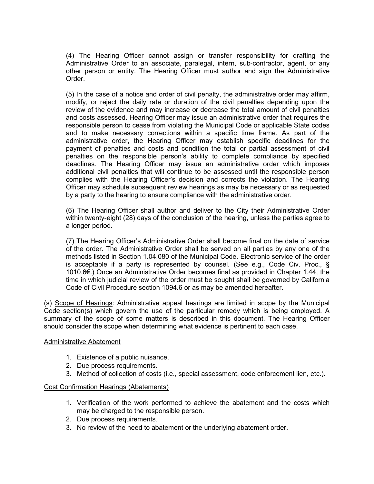(4) The Hearing Officer cannot assign or transfer responsibility for drafting the Administrative Order to an associate, paralegal, intern, sub-contractor, agent, or any other person or entity. The Hearing Officer must author and sign the Administrative **Order** 

(5) In the case of a notice and order of civil penalty, the administrative order may affirm, modify, or reject the daily rate or duration of the civil penalties depending upon the review of the evidence and may increase or decrease the total amount of civil penalties and costs assessed. Hearing Officer may issue an administrative order that requires the responsible person to cease from violating the Municipal Code or applicable State codes and to make necessary corrections within a specific time frame. As part of the administrative order, the Hearing Officer may establish specific deadlines for the payment of penalties and costs and condition the total or partial assessment of civil penalties on the responsible person's ability to complete compliance by specified deadlines. The Hearing Officer may issue an administrative order which imposes additional civil penalties that will continue to be assessed until the responsible person complies with the Hearing Officer's decision and corrects the violation. The Hearing Officer may schedule subsequent review hearings as may be necessary or as requested by a party to the hearing to ensure compliance with the administrative order.

(6) The Hearing Officer shall author and deliver to the City their Administrative Order within twenty-eight (28) days of the conclusion of the hearing, unless the parties agree to a longer period.

(7) The Hearing Officer's Administrative Order shall become final on the date of service of the order. The Administrative Order shall be served on all parties by any one of the methods listed in Section 1.04.080 of the Municipal Code. Electronic service of the order is acceptable if a party is represented by counsel. (See e.g., Code Civ. Proc., § 1010.6€.) Once an Administrative Order becomes final as provided in Chapter 1.44, the time in which judicial review of the order must be sought shall be governed by California Code of Civil Procedure section 1094.6 or as may be amended hereafter.

(s) Scope of Hearings: Administrative appeal hearings are limited in scope by the Municipal Code section(s) which govern the use of the particular remedy which is being employed. A summary of the scope of some matters is described in this document. The Hearing Officer should consider the scope when determining what evidence is pertinent to each case.

#### Administrative Abatement

- 1. Existence of a public nuisance.
- 2. Due process requirements.
- 3. Method of collection of costs (i.e., special assessment, code enforcement lien, etc.).

#### Cost Confirmation Hearings (Abatements)

- 1. Verification of the work performed to achieve the abatement and the costs which may be charged to the responsible person.
- 2. Due process requirements.
- 3. No review of the need to abatement or the underlying abatement order.